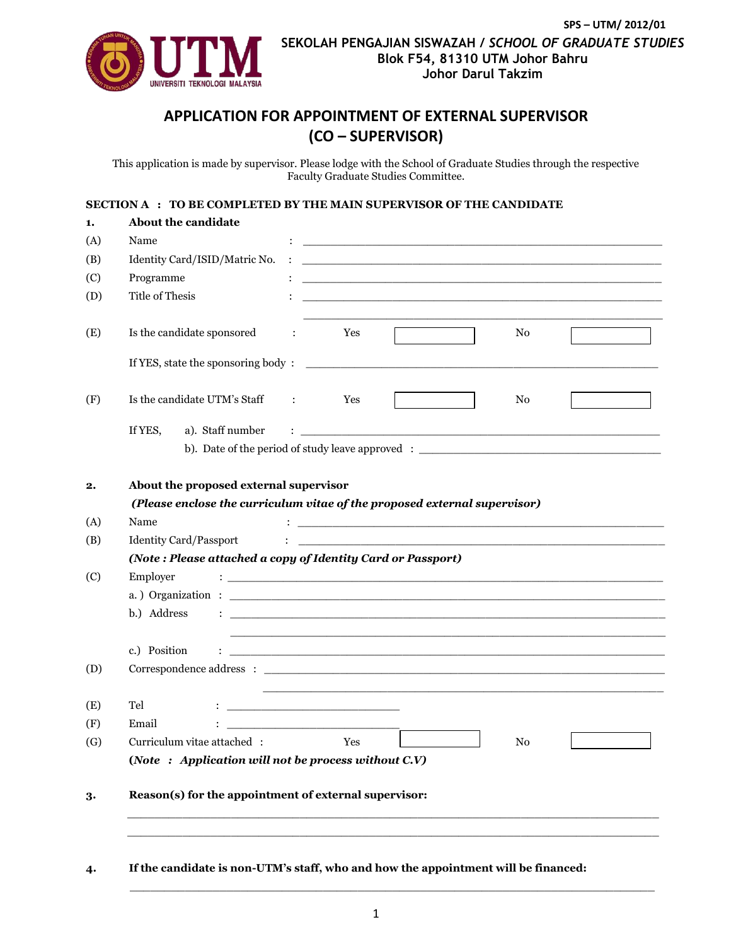

## **APPLICATION FOR APPOINTMENT OF EXTERNAL SUPERVISOR (CO – SUPERVISOR)**

This application is made by supervisor. Please lodge with the School of Graduate Studies through the respective Faculty Graduate Studies Committee.

## **SECTION A : TO BE COMPLETED BY THE MAIN SUPERVISOR OF THE CANDIDATE**

| About the candidate                                   |                                                                                                                                                                                                                                                                                                                                                                                                                                                                                                                                                                                                           |
|-------------------------------------------------------|-----------------------------------------------------------------------------------------------------------------------------------------------------------------------------------------------------------------------------------------------------------------------------------------------------------------------------------------------------------------------------------------------------------------------------------------------------------------------------------------------------------------------------------------------------------------------------------------------------------|
| Name                                                  | <u> 2002 - Johann John Stone, mars and de la provincia de la provincia de la provincia de la provincia de la pro</u>                                                                                                                                                                                                                                                                                                                                                                                                                                                                                      |
| Identity Card/ISID/Matric No.                         | <u> 1980 - Johann Stoff, deutscher Stoff, der Stoff, der Stoff, der Stoff, der Stoff, der Stoff, der Stoff, der S</u>                                                                                                                                                                                                                                                                                                                                                                                                                                                                                     |
| Programme                                             | <u> 1989 - Johann Stoff, amerikansk politiker (* 1908)</u>                                                                                                                                                                                                                                                                                                                                                                                                                                                                                                                                                |
| <b>Title of Thesis</b>                                |                                                                                                                                                                                                                                                                                                                                                                                                                                                                                                                                                                                                           |
| Is the candidate sponsored                            | Yes<br>No<br>$\ddot{\cdot}$                                                                                                                                                                                                                                                                                                                                                                                                                                                                                                                                                                               |
|                                                       |                                                                                                                                                                                                                                                                                                                                                                                                                                                                                                                                                                                                           |
| Is the candidate UTM's Staff                          | Yes<br>No<br>$\sim$ 1.100 $\pm$                                                                                                                                                                                                                                                                                                                                                                                                                                                                                                                                                                           |
| If YES,<br>a). Staff number                           |                                                                                                                                                                                                                                                                                                                                                                                                                                                                                                                                                                                                           |
|                                                       | b). Date of the period of study leave approved : $\frac{1}{2}$                                                                                                                                                                                                                                                                                                                                                                                                                                                                                                                                            |
|                                                       |                                                                                                                                                                                                                                                                                                                                                                                                                                                                                                                                                                                                           |
| About the proposed external supervisor                |                                                                                                                                                                                                                                                                                                                                                                                                                                                                                                                                                                                                           |
|                                                       | (Please enclose the curriculum vitae of the proposed external supervisor)                                                                                                                                                                                                                                                                                                                                                                                                                                                                                                                                 |
|                                                       |                                                                                                                                                                                                                                                                                                                                                                                                                                                                                                                                                                                                           |
| Name                                                  | <u> 1989 - Johann Harry Harry Harry Harry Harry Harry Harry Harry Harry Harry Harry Harry Harry Harry Harry Harry</u>                                                                                                                                                                                                                                                                                                                                                                                                                                                                                     |
| <b>Identity Card/Passport</b>                         |                                                                                                                                                                                                                                                                                                                                                                                                                                                                                                                                                                                                           |
|                                                       | (Note: Please attached a copy of Identity Card or Passport)                                                                                                                                                                                                                                                                                                                                                                                                                                                                                                                                               |
| Employer                                              |                                                                                                                                                                                                                                                                                                                                                                                                                                                                                                                                                                                                           |
|                                                       | a.) Organization : $\frac{1}{\sqrt{1-\frac{1}{2}}\sqrt{1-\frac{1}{2}}\sqrt{1-\frac{1}{2}}\sqrt{1-\frac{1}{2}}\sqrt{1-\frac{1}{2}}\sqrt{1-\frac{1}{2}}\sqrt{1-\frac{1}{2}}\sqrt{1-\frac{1}{2}}\sqrt{1-\frac{1}{2}}\sqrt{1-\frac{1}{2}}\sqrt{1-\frac{1}{2}}\sqrt{1-\frac{1}{2}}\sqrt{1-\frac{1}{2}}\sqrt{1-\frac{1}{2}}\sqrt{1-\frac{1}{2}}\sqrt{1-\frac{1}{2}}\sqrt{1-\frac{1}{2}}\sqrt{1-\frac{1}{$                                                                                                                                                                                                       |
| b.) Address                                           |                                                                                                                                                                                                                                                                                                                                                                                                                                                                                                                                                                                                           |
|                                                       |                                                                                                                                                                                                                                                                                                                                                                                                                                                                                                                                                                                                           |
| c.) Position<br>÷                                     |                                                                                                                                                                                                                                                                                                                                                                                                                                                                                                                                                                                                           |
|                                                       | <u> 1999 - Johann Stoff, amerikansk politiker (d. 1989)</u>                                                                                                                                                                                                                                                                                                                                                                                                                                                                                                                                               |
|                                                       | $\textbf{Correspondence address: } \begin{tabular}{l} \textbf{\textcolor{red}{\bf \textcolor{blue}{\bf \textcolor{green}{\bf \textcolor{blue}{\bf \textcolor{blue}{\bf \textcolor{blue}{\bf \textcolor{blue}{\bf \textcolor{blue}{\bf \textcolor{blue}{\bf \textcolor{blue}{\bf \textcolor{blue}{\bf \textcolor{blue}{\bf \textcolor{blue}{\bf \textcolor{blue}{\bf \textcolor{blue}{\bf \textcolor{blue}{\bf \textcolor{blue}{\bf \textcolor{blue}{\bf \textcolor{blue}{\bf \textcolor{blue}{\bf \textcolor{blue}{\bf \textcolor{blue}{\bf \textcolor{blue}{\bf \textcolor{blue}{\bf \textcolor{blue}{\$ |
| Tel                                                   | <u> 1989 - Johann Barn, mars ann an t-Amhain ann an t-Amhain an t-Amhain an t-Amhain an t-Amhain an t-Amhain an t-</u>                                                                                                                                                                                                                                                                                                                                                                                                                                                                                    |
| Email                                                 |                                                                                                                                                                                                                                                                                                                                                                                                                                                                                                                                                                                                           |
| Curriculum vitae attached:                            | Yes<br>N <sub>0</sub>                                                                                                                                                                                                                                                                                                                                                                                                                                                                                                                                                                                     |
| (Note: Application will not be process without C.V)   |                                                                                                                                                                                                                                                                                                                                                                                                                                                                                                                                                                                                           |
| Reason(s) for the appointment of external supervisor: |                                                                                                                                                                                                                                                                                                                                                                                                                                                                                                                                                                                                           |
|                                                       |                                                                                                                                                                                                                                                                                                                                                                                                                                                                                                                                                                                                           |

\_\_\_\_\_\_\_\_\_\_\_\_\_\_\_\_\_\_\_\_\_\_\_\_\_\_\_\_\_\_\_\_\_\_\_\_\_\_\_\_\_\_\_\_\_\_\_\_\_\_\_\_\_\_\_\_\_\_\_\_\_\_\_\_\_\_\_\_\_\_\_\_\_\_\_\_